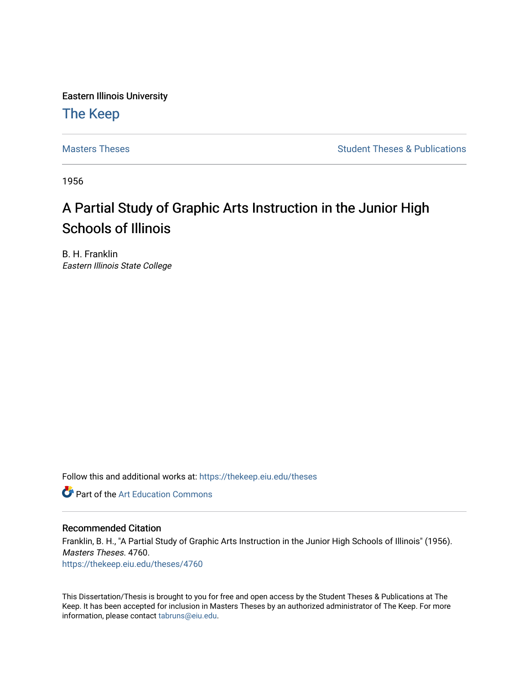Eastern Illinois University

### [The Keep](https://thekeep.eiu.edu/)

[Masters Theses](https://thekeep.eiu.edu/theses) **Student Theses & Publications** Student Theses & Publications

1956

## A Partial Study of Graphic Arts Instruction in the Junior High Schools of Illinois

B. H. Franklin Eastern Illinois State College

Follow this and additional works at: [https://thekeep.eiu.edu/theses](https://thekeep.eiu.edu/theses?utm_source=thekeep.eiu.edu%2Ftheses%2F4760&utm_medium=PDF&utm_campaign=PDFCoverPages)

**C** Part of the Art Education Commons

### Recommended Citation

Franklin, B. H., "A Partial Study of Graphic Arts Instruction in the Junior High Schools of Illinois" (1956). Masters Theses. 4760. [https://thekeep.eiu.edu/theses/4760](https://thekeep.eiu.edu/theses/4760?utm_source=thekeep.eiu.edu%2Ftheses%2F4760&utm_medium=PDF&utm_campaign=PDFCoverPages) 

This Dissertation/Thesis is brought to you for free and open access by the Student Theses & Publications at The Keep. It has been accepted for inclusion in Masters Theses by an authorized administrator of The Keep. For more information, please contact [tabruns@eiu.edu](mailto:tabruns@eiu.edu).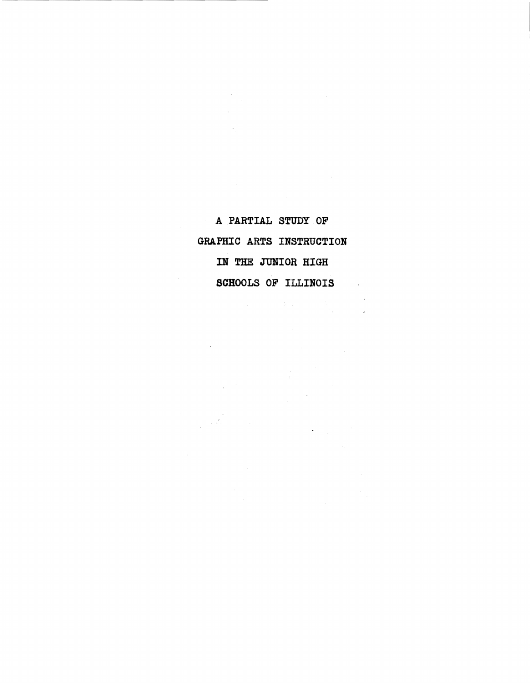A PARTIAL STUDY OF GRAPHIC ARTS INSTRUCTION IN THE JUNIOR HIGH SCHOOLS OF ILLINOIS  $\sim 10$ 

 $\label{eq:2} \begin{split} \mathbb{E}\left[\frac{1}{2}\right] & = \frac{1}{2}\left[\frac{1}{2}\right] \\ & = \frac{1}{2}\left[\frac{1}{2}\right] \\ & = \frac{1}{2}\left[\frac{1}{2}\right] \\ & = \frac{1}{2}\left[\frac{1}{2}\right] \\ & = \frac{1}{2}\left[\frac{1}{2}\right] \\ & = \frac{1}{2}\left[\frac{1}{2}\right] \\ & = \frac{1}{2}\left[\frac{1}{2}\right] \\ & = \frac{1}{2}\left[\frac{1}{2}\right] \\ & = \frac{1}{2}\left[\frac{1}{2}\right] \\ & = \frac{1}{2}\left[\frac$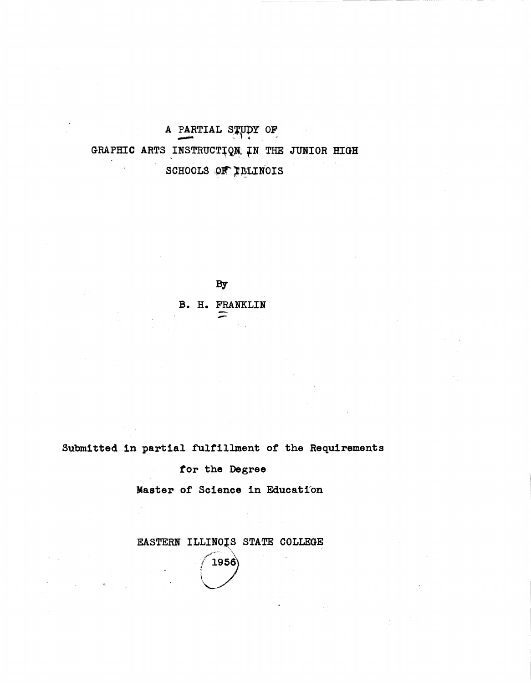A PARTIAL STUDY OF GRAPHIC ARTS INSTRUCTION IN THE JUNIOR HIGH SCHOOLS OF IBLINOIS

By

B. H. FRANKLIN

Submitted in partial fulfillment of the Requirements

tor the Degree

Master of Science in Education

EASTERN ILLINOIS STATE COLLEGE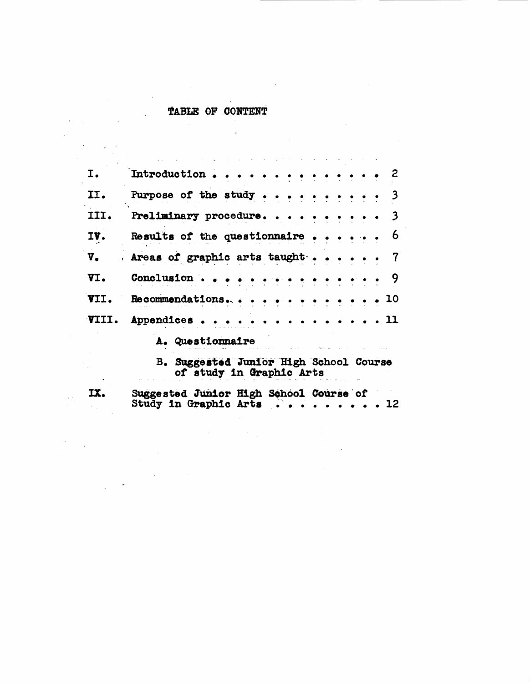# TABLE OF CONTENT

 $\frac{1}{2} \int_{\mathbb{R}^3} \left| \frac{d\mathbf{x}}{d\mathbf{x}} \right|^2 \, d\mathbf{x} = \frac{1}{2} \int_{\mathbb{R}^3} \left| \frac{d\mathbf{x}}{d\mathbf{x}} \right|^2 \, d\mathbf{x}$ 

 $\label{eq:2} \frac{1}{\sqrt{2}}\int_{0}^{\infty}\frac{dx}{\sqrt{2\pi}}\,dx\leq \frac{1}{\sqrt{2}}\int_{0}^{\infty}\frac{dx}{\sqrt{2\pi}}\,dx$ 

 $\overline{M}_{\rm eff}$ 

 $\label{eq:2.1} \frac{1}{2} \sum_{i=1}^n \frac{1}{2} \sum_{j=1}^n \frac{1}{2} \sum_{j=1}^n \frac{1}{2} \sum_{j=1}^n \frac{1}{2} \sum_{j=1}^n \frac{1}{2} \sum_{j=1}^n \frac{1}{2} \sum_{j=1}^n \frac{1}{2} \sum_{j=1}^n \frac{1}{2} \sum_{j=1}^n \frac{1}{2} \sum_{j=1}^n \frac{1}{2} \sum_{j=1}^n \frac{1}{2} \sum_{j=1}^n \frac{1}{2} \sum_{j=1}^n \frac{$ 

 $\label{eq:2.1} \frac{1}{\sqrt{2\pi}}\int_{0}^{\infty}\frac{1}{\sqrt{2\pi}}\left(\frac{1}{\sqrt{2\pi}}\right)^{2\alpha} \frac{1}{\sqrt{2\pi}}\int_{0}^{\infty}\frac{1}{\sqrt{2\pi}}\frac{1}{\sqrt{2\pi}}\frac{1}{\sqrt{2\pi}}\frac{1}{\sqrt{2\pi}}\frac{1}{\sqrt{2\pi}}\frac{1}{\sqrt{2\pi}}\frac{1}{\sqrt{2\pi}}\frac{1}{\sqrt{2\pi}}\frac{1}{\sqrt{2\pi}}\frac{1}{\sqrt{2\pi}}\frac{1}{\sqrt{2\pi}}\frac{$ 

| I.            | Introduction<br>2                                                                                                              |
|---------------|--------------------------------------------------------------------------------------------------------------------------------|
| II.           | Purpose of the study $\cdots$ .<br>3                                                                                           |
| III.          | Preliminary procedure<br>3                                                                                                     |
| IV.           | 6<br>Results of the questionnaire $\cdots$ .                                                                                   |
| $V_{\bullet}$ | $\overline{7}$<br>Areas of graphic arts taught                                                                                 |
| VI.           | Conclusion<br>9<br>$\begin{array}{cccccccccc} \bullet & \bullet & \bullet & \bullet & \bullet & \bullet & \bullet \end{array}$ |
| VII.          | Recommendations<br>10                                                                                                          |
| VIII.         | - 11<br>Appendices.                                                                                                            |
|               | A. Questionmaire                                                                                                               |
|               | B. Suggested Junior High School Course<br>of study in Graphic Arts                                                             |
| IX.           | Suggested Junior High School Course of<br>Study in Graphic Arts<br>12                                                          |

 $\label{eq:2.1} \mathcal{L}_{\mathcal{A}}(\mathcal{A}) = \mathcal{L}_{\mathcal{A}}(\mathcal{A}) = \mathcal{L}_{\mathcal{A}}(\mathcal{A})$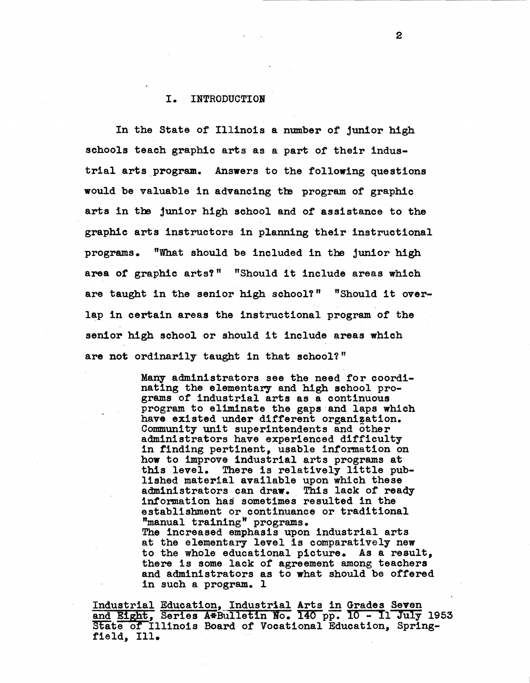#### I. INTRODUCTION

In the State of Illinois a number of junior high schools teach graphic arts as a part of their industrial arts program. Answers to the following questions would be valuable in advancing the program of graphic arts in the junior high school and of assistance to the graphic arts instructors in planning their instructional programs. "What should be included in the junior high area of graphic arts?" "Should it include areas which are taught in the senior high school?" "Should it overlap in certain areas the instructional program of the senior high school or should it include areas which are not ordinarily taught in that school?"

> Many administrators see the need for coordinating the elementary and high school programs of industrial arts as a continuous program to eliminate the gaps and laps which have existed under different organization. Community unit superintendents and other<br>administrators have experienced difficulty in finding pertinent, usable information on how to improve industrial arts programs at this level. There is relatively little pub- lished material available upon which these administrators can draw. This lack of ready information has sometimes resulted in the establishment or continuance or traditional "manual training" programs. The increased emphasis upon industrial arts at the elementary level is comparatively new to the whole educational picture. **As a** result, there is some lack *ot* agreement among teachers and administrators as to what should be offered in such a program. 1

Industrial Education, Industrial Arts in Grades Seven and Eight, Series A\*Bulletin No. 140 pp. 10 - 11 July 1953 and Eight, Series A\*Bulletin No. 140 pp. 10 - 11 July 19<br>State of Illinois Board of Vocational Education, Spring-<br>field, Ill.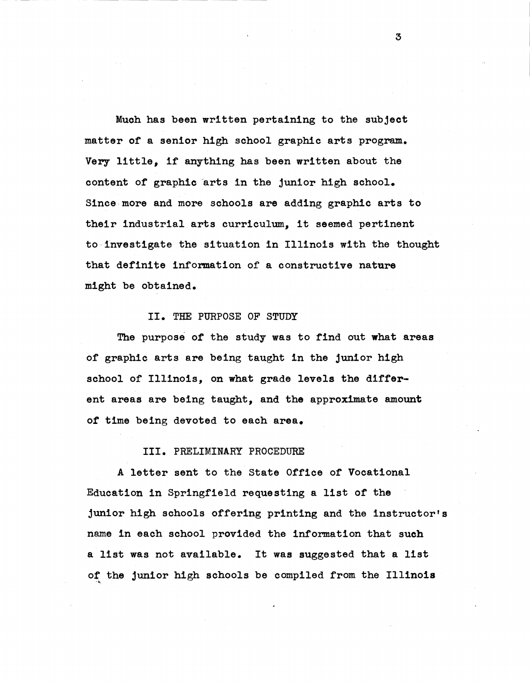Much has been written pertaining to the subject matter of' a senior high school graphic arts program. Very little, if anything has been written about the content of graphic arts in the junior high school. Since-more and more schools are adding graphic arts to their industrial arts curriculum, it seemed pertinent to-investigate the situation in Illinois with the thought that definite information of a constructive nature might be obtained.

#### II. THE PURPOSE OF STUDY

The purpose of the study was to find out what areas of' graphic arts are being taught in the junior high school of Illinois, on what grade levels the different areas are being taught, and the approximate amount of time being devoted to each **area.** 

#### III. PRELIMINARY PROCEDURE

A letter sent to the State Office of Vocational Education in Springfield requesting a list of the junior high schools offering printing and the instructor's name in each school provided the information that such a list was not available. It was suggested that a list of the junior high schools be compiled from the Illinois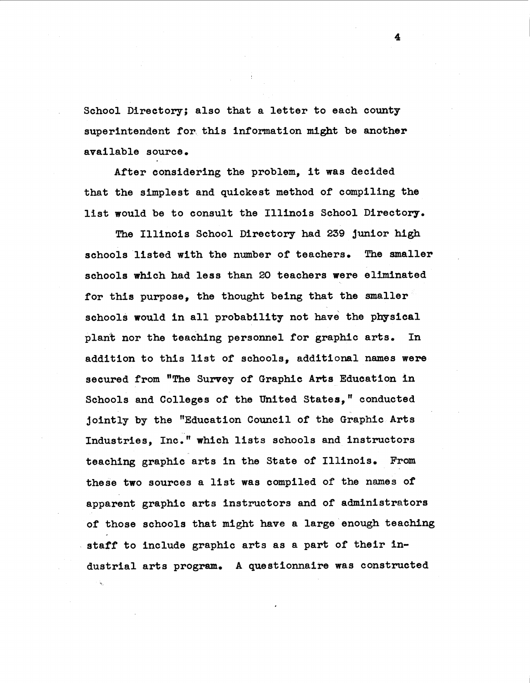School Directory; also that a letter to each county superintendent for, this information might be another available source.

After considering the problem, it was decided that the simplest and quickest method of compiling the list would be to consult the Illinois School Directory.

The Illinois School Directory had 239 junior high schools listed with the number of teachers. The smaller schools which had less than 20 teachers **were** eliminated for this purpose, the thought being that the smaller schools would in all probability not have the physical plant nor the teaching personnel for graphic arts. In addition to this list of schools, additional names were secured from "The Survey of Graphic Arts Education in Schools and Colleges of the United States," conducted jointly by the "Education Council of the Graphic Arts Industries, Inc." **which** lists schools and instructors teaching graphic arts in the State of Illinois. From these two sources a list was compiled of the names of apparent graphic arts instructors and of administrators of those schools that might have a large enough teaching **staff** to include graphic arts as a part *ot* their industrial arts program. A questionnaire was constructed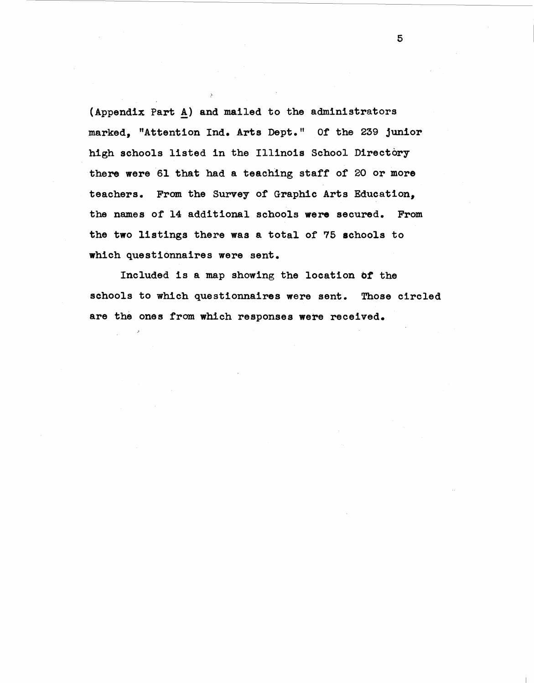(Appendix Part A) and mailed to the administrators marked, "Attention Ind. Arts Dept." Of the 239 junior high schools listed in the Illinois School Directory there were 61 that had a teaching staff of 20 or more teachers. From the Survey of Graphic Arts Education, the names of 14 additional schools were secured. From the two listings there was a total of 75 schools to which questionnaires were sent.

Included is a map showing the location of the schools to which questionnaires were sent. Those circled are the ones from which responses were received.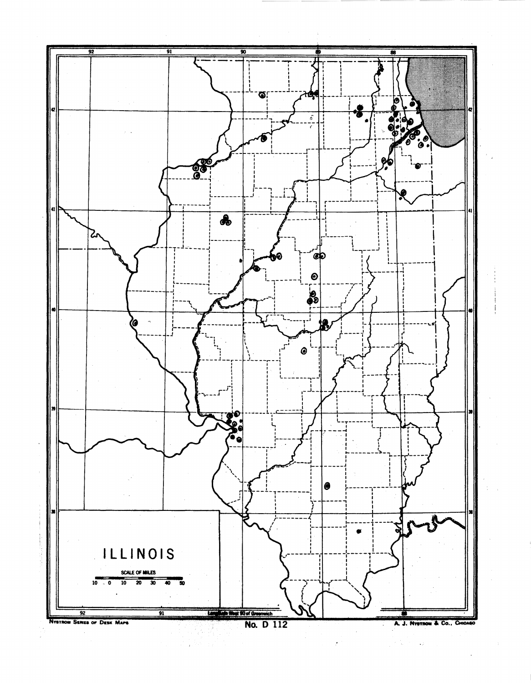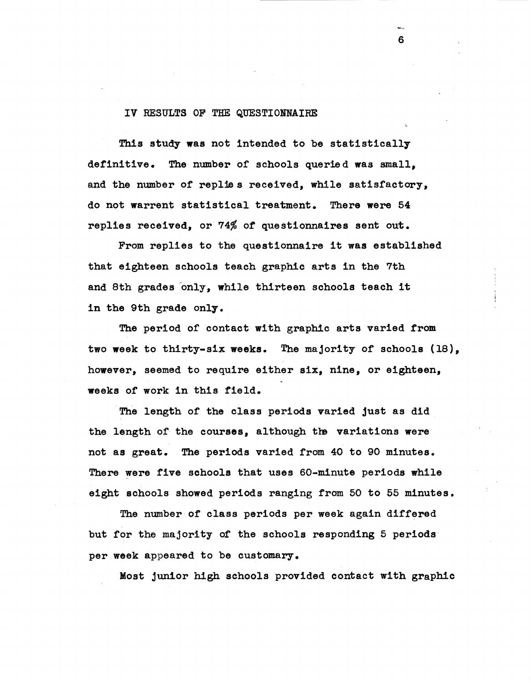#### IV RESULTS OF THE QUESTIONNAIRE

This study was not intended to be statistically detinitive. The number or schools queried was small, and the number of replies received, while satisfactory, do not warrent statistical treatment. There were 54 replies received, or 74% of questionnaires sent out.

6

From replies to the questionnaire it was established that eighteen schools teach graphic arts in the 7th and 8th grades only, while thirteen schools teach it in the 9th grade only.

The period of contact with graphic arts varied from two **week** to thirty-six **weeks.** The majority or schools (18), however, seemed to require either six, nine, or eighteen, weeks or work in this field.

The length of the class periods varied just as did the length of the courses, although the variations were not as great. The periods varied from 40 to 90 minutes. There were tive schools that uses 60-minute periods while eight schools showed periods ranging trom 50 to 55 minutes.

The number of class periods per week again differed but for the majority of the schools responding 5 periods per week appeared to be customary.

Most junior high schools provided contact with graphic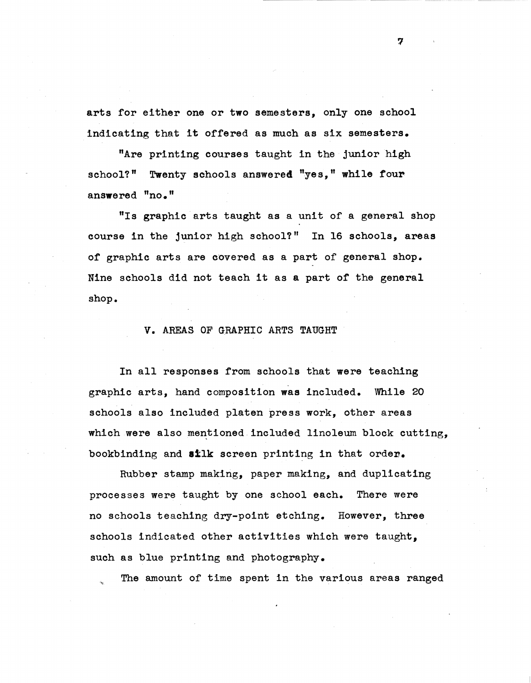arts for either one or two semesters, only one school indicating that it offered as much as six semesters.

"Are printing courses taught in the junior high school?" Twenty schools answered "yes," while four **answered** "no."

"Is graphic arts taught as a unit of a general shop course in the junior high school?" In 16 schools, areas of graphic arts are covered as a part of general shop. Nine schools did not teach it as a part of the general shop.

#### V. AREAS OF GRAPHIC ARTS TAUGHT

In all responses from schools that were teaching graphic arts, hand composition was included. While 20 schools also included platen press work, other areas which were also mentioned included linoleum block cutting, bookbinding and **silk** screen printing in that order.

Rubber stamp making, paper making, and duplicating processes were taught by one school each. There were no schools teaching dry-point etching. However, three schools indicated other activities which were taught, such as blue printing and photography.

The amount of time spent in the various areas ranged

7

------------------------- ---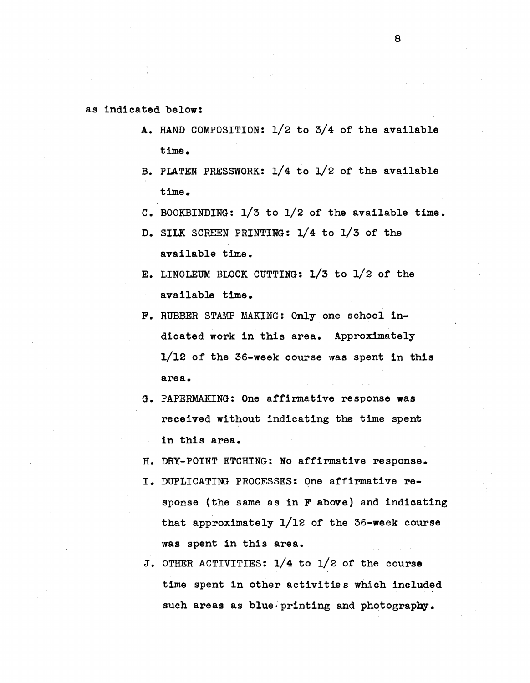#### as indicated below:

- A. HAND COMPOSITION: 1/2 to 3/4 of the available time.
- B. PLATEN PRESSWORK: 1/4 to 1/2 of the available time.
- c. BOOKBINDING: 1/3 to 1/2 or the available time.
- D. SILK SCREEN PRINTING: 1/4 to 1/3 of the available time.
- E. LINOLEUM BLOCK CUTTING: 1/3 to l/2 or the available time.
- F. RUBBER STAMP MAKING: Only one school indicated work in this area. Approximately 1/12 or the 36-week course was spent in this **area.**
- G. PAPERMAKING: One affirmative response was **received** without indicating the time spent in this area.
- H. DRY-POINT ETCHING: No affirmative response.
- I. DUPLICATING PROCESSES: One affirmative response (the same as in F above) and indicating that approximately  $1/12$  of the 36-week course was spent in this area.
- J. OTHER ACTIVITIES: 1/4 to 1/2 of the course time spent in other activities which included such areas as blue. printing and photography.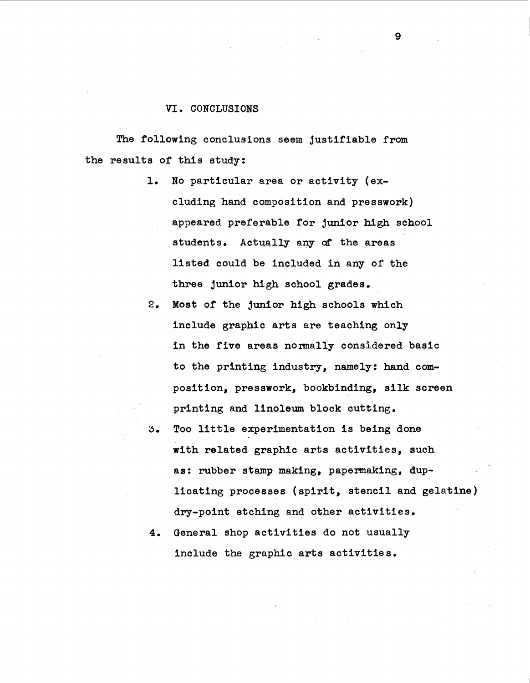#### VI. CONCLUSIONS

The following conclusions seem justifiable from the results of this study:

- 1. No particular area or activity (excluding hand composition and presswork) appeared preferable for junior high school students. Actually any of the areas listed could be included in any of the three junior high school grades.
- 2. Most of the junior high schools which include graphic arts are teaching only in the five areas normally considered basic to the printing industry, namely: hand composition, presswork, bookbinding, silk screen printing and linoleum block cutting.
- 3. Too little experimentation is being done with related graphic arts activities, such as: rubber stamp making, papermaking, duplicating processes (spirit, stencil and gelatine) dry-point etching and other activities.
- 4. General shop activities do not usually include the graphic arts activities.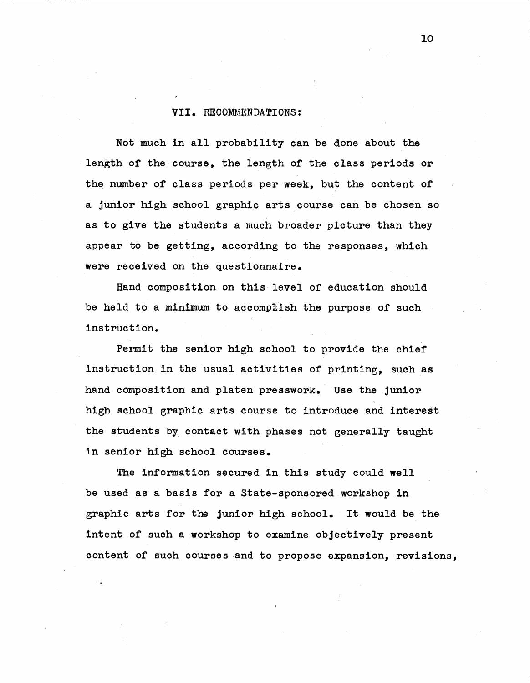#### **VII.** RECOMMENDATIONS:

Not much in all probability can be done about the length of the course, the length of the class periods or the number of class periods per week, but the content of a junior high school graphic arts course can be chosen so as to give the students a much broader picture than they appear to be getting, according to the responses, which were received on the questionnaire.

Hand composition on this level of education should be held to a minimum to accomplish the purpose of such instruction.

Permit the senior high school to provide the chief instruction in the usual activities of printing, such as hand composition and platen presswork. Use the junior high school graphic arts course to introduce and interest the students by contact with phases not generally taught in senior high school courses.

The information secured in this study could well be used as a basis for a State-sponsored workshop in graphic arts for the junior high school. It would be the intent of such a workshop to examine objectively present content of such courses and to propose expansion, revisions,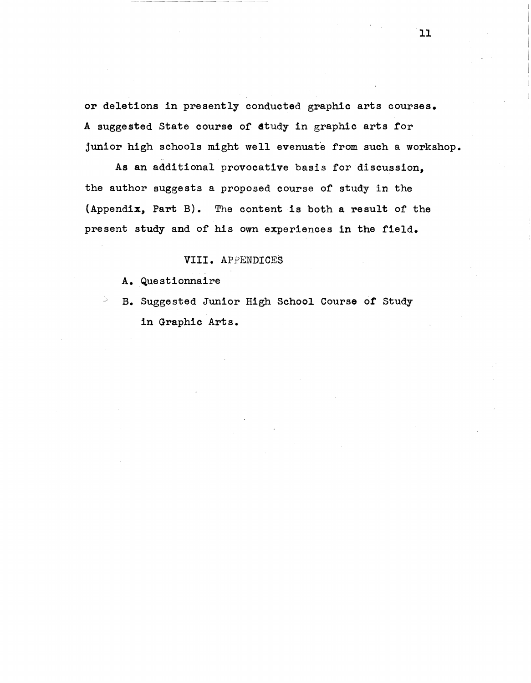or deletions in presently conducted graphic arts courses. A suggested State course of study in graphic arts for junior high schools might well evenuate from such a workshop.

**As** an additional provocative basis for discussion, the author suggests a proposed course of study in the (Appendix, Part B). The content is both a result of the present study and of his own experiences in the field.

#### **VIII.** APPENDICES

A. Questionnaire

B. Suggested Junior High School Course of Study in Graphic Arts.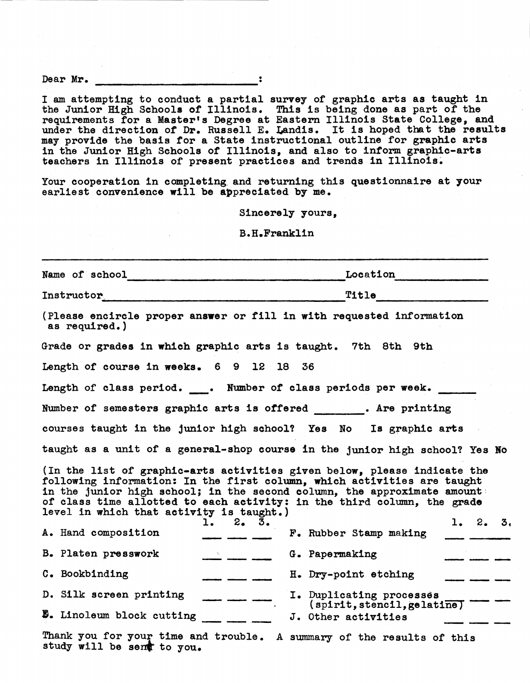Dear Mr. <u>\_\_\_\_\_\_\_\_\_\_\_\_\_\_\_\_\_\_\_\_\_\_\_\_\_\_\_\_\_\_\_\_\_</u>:

I am attempting to conduct a partial survey of graphic arts as taught in the Junior High Schools of Illinois. This is being done as part of the requirements for a Master's Degree at Eastern Illinois State College, and under the direction of Dr. Russell E. Landis. It is hoped that the results may provide the basis for a State instructional outline for graphic arts in the Junior High Schools of Illinois, and also to inform graphic-arts teachers in Illinois of present practices and trends in Illinois.

Your cooperation in completing and returning this questionnaire at your earliest convenience will be appreciated by me.

Sincerely yours,

B.H.Franklin

| Name of school entertainment             | Location                                                                                                                                                                                                                                                                                                                                                                                                                                                                                                                                                                    |
|------------------------------------------|-----------------------------------------------------------------------------------------------------------------------------------------------------------------------------------------------------------------------------------------------------------------------------------------------------------------------------------------------------------------------------------------------------------------------------------------------------------------------------------------------------------------------------------------------------------------------------|
| Instructor                               | Title                                                                                                                                                                                                                                                                                                                                                                                                                                                                                                                                                                       |
| as required.)                            | (Please encircle proper answer or fill in with requested information                                                                                                                                                                                                                                                                                                                                                                                                                                                                                                        |
|                                          | Grade or grades in which graphic arts is taught. 7th 8th 9th                                                                                                                                                                                                                                                                                                                                                                                                                                                                                                                |
| Length of course in weeks. 6 9 12 18 36  |                                                                                                                                                                                                                                                                                                                                                                                                                                                                                                                                                                             |
|                                          | Length of class period. . Number of class periods per week.                                                                                                                                                                                                                                                                                                                                                                                                                                                                                                                 |
|                                          | Number of semesters graphic arts is offered ______. Are printing                                                                                                                                                                                                                                                                                                                                                                                                                                                                                                            |
|                                          | courses taught in the junior high school? Yes No Is graphic arts                                                                                                                                                                                                                                                                                                                                                                                                                                                                                                            |
|                                          | taught as a unit of a general-shop course in the junior high school? Yes No                                                                                                                                                                                                                                                                                                                                                                                                                                                                                                 |
| level in which that activity is taught.) | (In the list of graphic-arts activities given below, please indicate the<br>following information: In the first column, which activities are taught<br>in the junior high school; in the second column, the approximate amount<br>of class time allotted to each activity: in the third column, the grade<br>1. 2. 3.<br>1.2.3.                                                                                                                                                                                                                                             |
| A. Hand composition                      | F. Rubber Stamp making                                                                                                                                                                                                                                                                                                                                                                                                                                                                                                                                                      |
| B. Platen presswork                      | G. Papermaking<br>$\begin{array}{c}\n\bullet \\ \hline\n\end{array}$                                                                                                                                                                                                                                                                                                                                                                                                                                                                                                        |
| C. Bookbinding                           | H. Dry-point etching<br>$\begin{array}{ccccccccc}\n\hline\n\end{array} \qquad \begin{array}{ccccccccc}\n\hline\n\end{array} \qquad \begin{array}{ccccccccc}\n\hline\n\end{array} \qquad \begin{array}{ccccccccc}\n\hline\n\end{array} \qquad \begin{array}{ccccccccc}\n\hline\n\end{array} \qquad \begin{array}{ccccccccc}\n\hline\n\end{array} \qquad \begin{array}{ccccccccc}\n\hline\n\end{array} \qquad \begin{array}{ccccccccc}\n\hline\n\end{array} \qquad \begin{array}{ccccccccc}\n\hline\n\end{array} \qquad \begin{array}{ccccccccc}\n\hline\n\end{array} \qquad$ |
| D. Silk screen printing                  | I. Duplicating processes                                                                                                                                                                                                                                                                                                                                                                                                                                                                                                                                                    |
| <b>B.</b> Linoleum block cutting         | (sprint, stench, gelatine)<br>J. Other activities                                                                                                                                                                                                                                                                                                                                                                                                                                                                                                                           |
| study will be sent to you.               | Thank you for your time and trouble. A summary of the results of this                                                                                                                                                                                                                                                                                                                                                                                                                                                                                                       |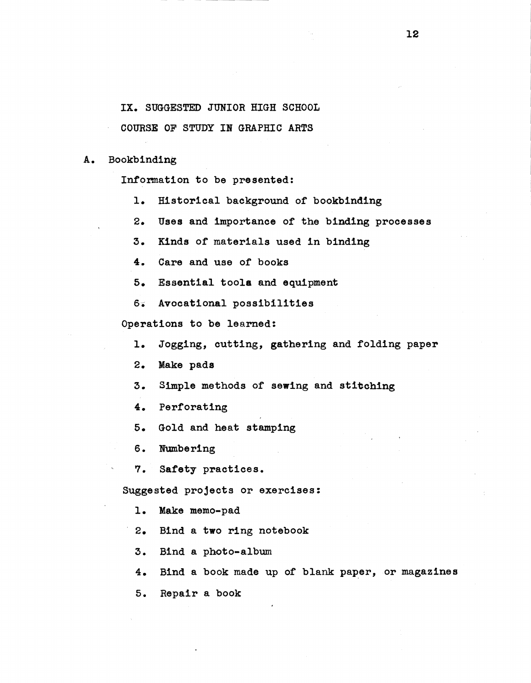IX. SUGGESTED JUNIOR HIGH SCHOOL

COURSE OF STUDY IN GRAPHIC **ARTS** 

A. Bookbinding

Information to be presented:

1. Historical background of bookbinding

2. Uses and importance of the binding processes

3. Kinds of materials used in binding

4. Care and use or books

s. Essential tools and equipment

6. Avocational possibilities

Operations to be learned:

1. Jogging, cutting, **gathering** and folding paper

2. **Make pads** 

3. Simple methods of sewing and stitching

4. Perforating

5. Gold and heat stamping

6. Numbering

7. **Safety** practices.

Suggested projects or exercises:

1. Make memo-pad

2. Bind a two ring notebook

3. Bind a photo-album

4. Bind a book made up of blank paper, or magazines

s. Repair a book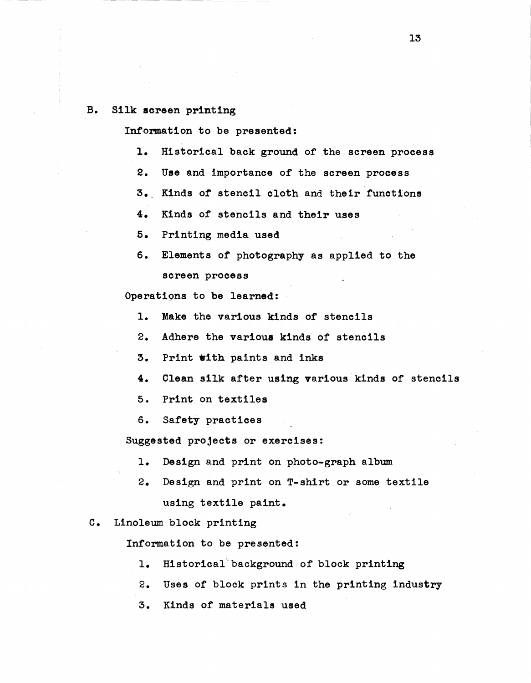#### B. Silk **screen** printing

Information to be presented:

- 1. Historical back ground of the screen process
- 2. Use and importance of the **screen** process
- 3. Kinds of stencil cloth and their functions
- **4.** Kinds of stencils and **their uses**
- 5. Printing media used
- 6. Elements of photography as applied to the screen process

Operations to be learned:

- 1. **Make** the various kinds of stencils
- 2. Adhere the various kinds of stencils
- 3. Print **with** paints and inks
- 4. Clean silk after using various kinds of stencils
- 5. Print on textiles
- 6. Safety practices

Suggested projects or exercises:

- 1. Design and print on photo-graph album
- 2. Design and print on T-shirt or some textile using textile paint.
- c. Linoleum block printing

Information to be presented:

- 1. Bistorical'background.of block printing
- 2. Uses of block prints in the printing industry
- 3. Kinds of materials used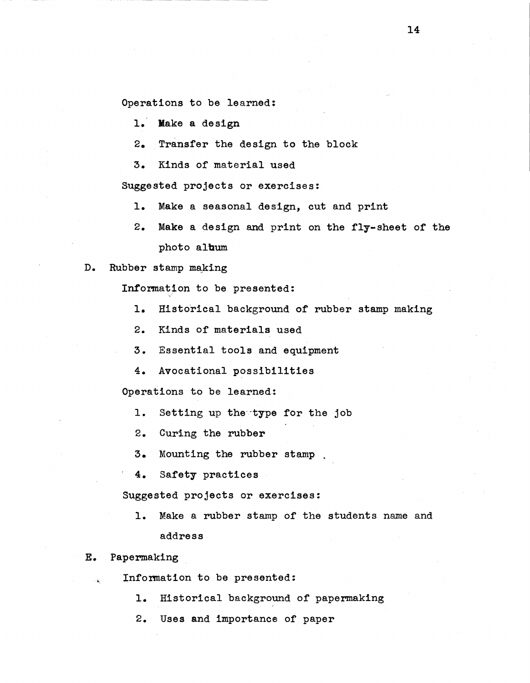Operations to be learned:

1. Make a design

2. Transfer the design to the block

3. Kinds of material used

Suggested projects or exercises:

1. **Make** a seasonal design, cut and print

- 2. **Make** a design and print on the fly-sheet of the photo album
- D. Rubber stamp making

Information to be presented:

- 1. Historical background of rubber stamp making
- 2. Kinds Of materials used
- 3. Essential tools and equipment
- 4. Avocational possibilities

Operations to be learned.:

- 1. Setting up the type for the job
- 2. Curing the rubber
- 3. Mounting the rubber stamp
- 4. Safety practices

Suggested projects or exercisea:

1. Make a rubber stamp of the students name and address

#### **E.**  Papermaking

 $\sim$ 

- Information to be presented:
	- 1. Historical background of papermaking
	- 2. Uses and importance of paper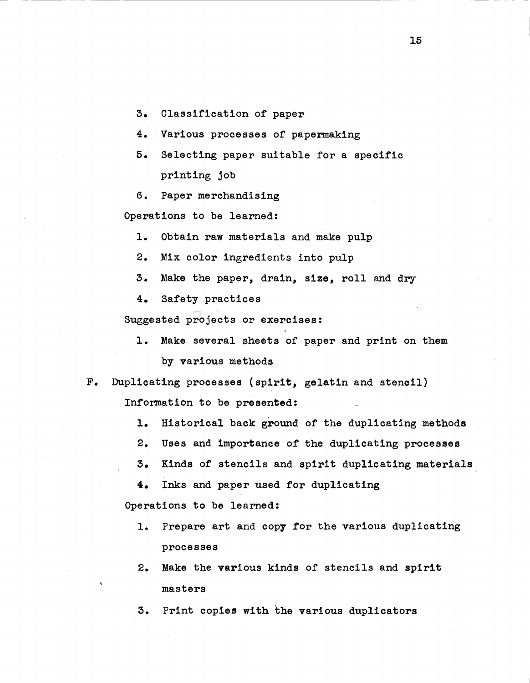- 3. Classification of paper
- 4. Various processes of papermaking
- 5. Selecting paper suitable for a specific printing job
- 6. Paper merchandising

Operations to be learned:

- 1. Obtain raw materials and make pulp
- 2. Mix color ingredients into pulp
- 3. Make the paper, drain, **size,** roll and dry
- 4. Safety practices

Suggested projects or exercises:

1. Make several sheets of paper and print on them by various methods

F. Duplicating processes {spirit, gelatin and stencil)

Information to be presented:

- 1. Historical back ground of the duplicating methods
- 2. Uses and importance of the duplicating processes
- 3. Kinds of stencils and spirit duplicating materials
- 4. Inks and paper used for duplicating

Operations to be learned:

- 1. Prepare art and copy for the various duplicating **processes**
- 2. Make the various kinds of stencils and spirit **masters**
- 3. Print copies with the various duplicators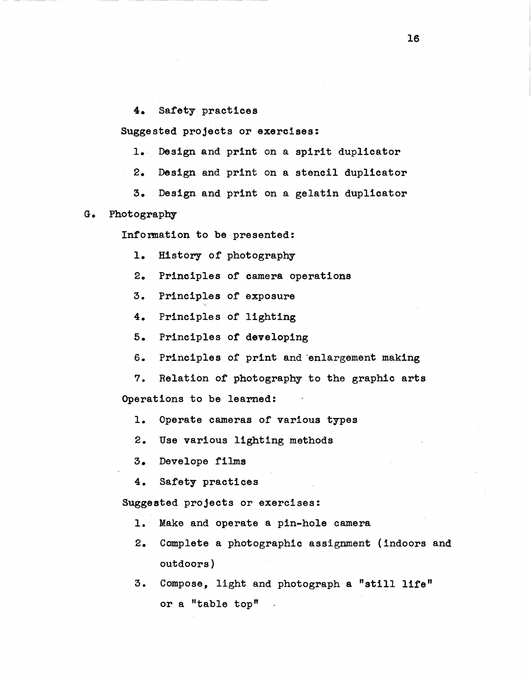4. Safety practices

Suggested projects or **exercises:** 

- 1. Design and print on a spirit duplicator
- 2. Design and print on a stencil duplicator
- 3 •. Design and print on a gelatin duplicator
- G. Photography
	- Information to be presented:
		- **1.** History of photography
		- **2.** Principles of camera operations
		- **3.** Principles of exposure
		- **4.** Principles *ot* lighting
		- **5.** Principles **of** developing
		- 6. Principles of print and enlargement making
	- **7.** Relation of photography to the graphic arts Operations to be learned:
		- 1. Operate cameras or various types
		- 2. Use various lighting methods
		- 3. Develope films
		- 4. Safety practices

**Suggested** projects or exercises:

- 1. Make and operate a pin-hole camera
- 2. Complete a photographic assignment (indoors and outdoors)
- 3. Compose, light and photograph a "still **life"**  or a "table top"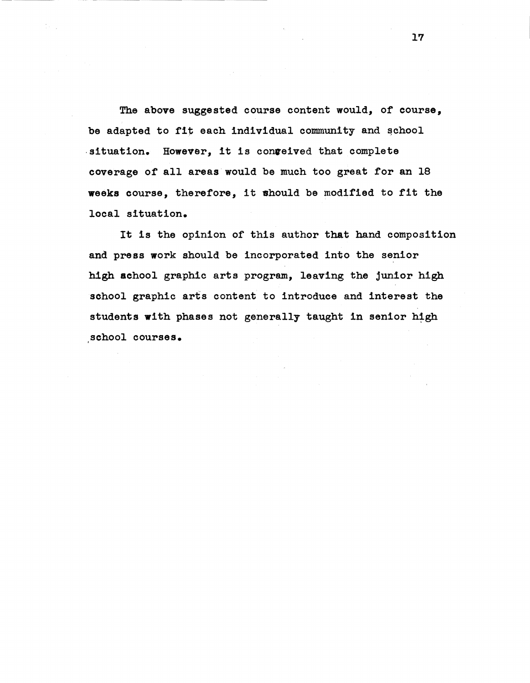The above suggested course content would, of course, be adapted to fit each individual community and school situation. However, it is conveived that complete coverage of all areas would be much too great for an 18 **weeks** course, therefore, it should be modified to fit the local situation.

school courses. It is the opinion of this author that hand composition and press work should be incorporated into the senior high school graphic arts program, leaving the junior high school graphic arts content to introduce and interest the students with phases not generally taught in senior high